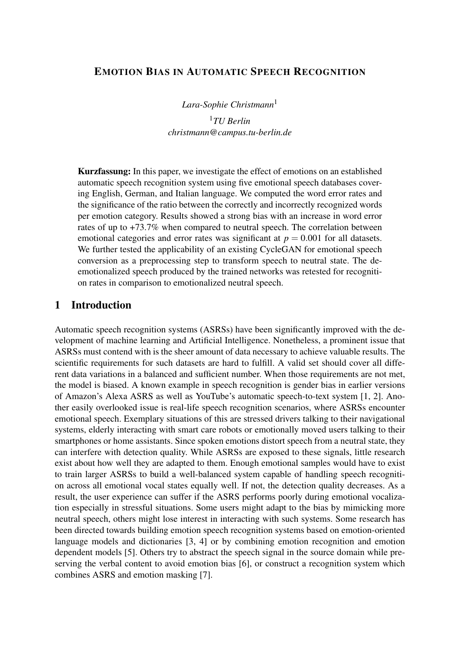### EMOTION BIAS IN AUTOMATIC SPEECH RECOGNITION

*Lara-Sophie Christmann*<sup>1</sup>

<sup>1</sup>*TU Berlin [christmann@campus.tu-berlin.de](mailto:christmann@campus.tu-berlin.de)*

Kurzfassung: In this paper, we investigate the effect of emotions on an established automatic speech recognition system using five emotional speech databases covering English, German, and Italian language. We computed the word error rates and the significance of the ratio between the correctly and incorrectly recognized words per emotion category. Results showed a strong bias with an increase in word error rates of up to +73.7% when compared to neutral speech. The correlation between emotional categories and error rates was significant at  $p = 0.001$  for all datasets. We further tested the applicability of an existing CycleGAN for emotional speech conversion as a preprocessing step to transform speech to neutral state. The deemotionalized speech produced by the trained networks was retested for recognition rates in comparison to emotionalized neutral speech.

## 1 Introduction

Automatic speech recognition systems (ASRSs) have been significantly improved with the development of machine learning and Artificial Intelligence. Nonetheless, a prominent issue that ASRSs must contend with is the sheer amount of data necessary to achieve valuable results. The scientific requirements for such datasets are hard to fulfill. A valid set should cover all different data variations in a balanced and sufficient number. When those requirements are not met, the model is biased. A known example in speech recognition is gender bias in earlier versions of Amazon's Alexa ASRS as well as YouTube's automatic speech-to-text system [\[1,](#page-6-0) [2\]](#page-6-1). Another easily overlooked issue is real-life speech recognition scenarios, where ASRSs encounter emotional speech. Exemplary situations of this are stressed drivers talking to their navigational systems, elderly interacting with smart care robots or emotionally moved users talking to their smartphones or home assistants. Since spoken emotions distort speech from a neutral state, they can interfere with detection quality. While ASRSs are exposed to these signals, little research exist about how well they are adapted to them. Enough emotional samples would have to exist to train larger ASRSs to build a well-balanced system capable of handling speech recognition across all emotional vocal states equally well. If not, the detection quality decreases. As a result, the user experience can suffer if the ASRS performs poorly during emotional vocalization especially in stressful situations. Some users might adapt to the bias by mimicking more neutral speech, others might lose interest in interacting with such systems. Some research has been directed towards building emotion speech recognition systems based on emotion-oriented language models and dictionaries [\[3,](#page-6-2) [4\]](#page-6-3) or by combining emotion recognition and emotion dependent models [\[5\]](#page-6-4). Others try to abstract the speech signal in the source domain while preserving the verbal content to avoid emotion bias [\[6\]](#page-6-5), or construct a recognition system which combines ASRS and emotion masking [\[7\]](#page-6-6).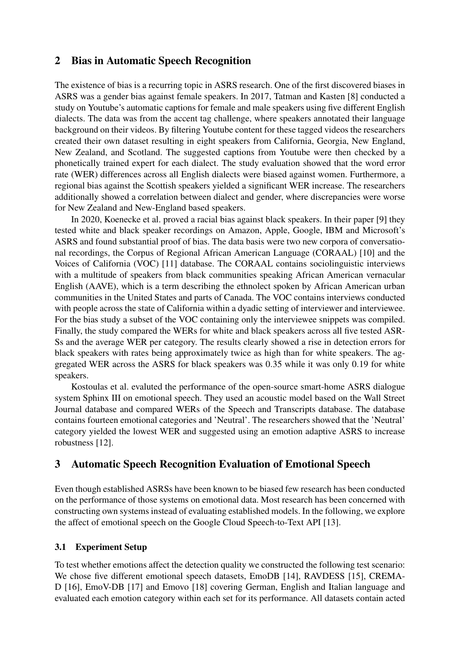### 2 Bias in Automatic Speech Recognition

The existence of bias is a recurring topic in ASRS research. One of the first discovered biases in ASRS was a gender bias against female speakers. In 2017, Tatman and Kasten [\[8\]](#page-6-7) conducted a study on Youtube's automatic captions for female and male speakers using five different English dialects. The data was from the accent tag challenge, where speakers annotated their language background on their videos. By filtering Youtube content for these tagged videos the researchers created their own dataset resulting in eight speakers from California, Georgia, New England, New Zealand, and Scotland. The suggested captions from Youtube were then checked by a phonetically trained expert for each dialect. The study evaluation showed that the word error rate (WER) differences across all English dialects were biased against women. Furthermore, a regional bias against the Scottish speakers yielded a significant WER increase. The researchers additionally showed a correlation between dialect and gender, where discrepancies were worse for New Zealand and New-England based speakers.

In 2020, Koenecke et al. proved a racial bias against black speakers. In their paper [\[9\]](#page-6-8) they tested white and black speaker recordings on Amazon, Apple, Google, IBM and Microsoft's ASRS and found substantial proof of bias. The data basis were two new corpora of conversational recordings, the Corpus of Regional African American Language (CORAAL) [\[10\]](#page-6-9) and the Voices of California (VOC) [\[11\]](#page-6-10) database. The CORAAL contains sociolinguistic interviews with a multitude of speakers from black communities speaking African American vernacular English (AAVE), which is a term describing the ethnolect spoken by African American urban communities in the United States and parts of Canada. The VOC contains interviews conducted with people across the state of California within a dyadic setting of interviewer and interviewee. For the bias study a subset of the VOC containing only the interviewee snippets was compiled. Finally, the study compared the WERs for white and black speakers across all five tested ASR-Ss and the average WER per category. The results clearly showed a rise in detection errors for black speakers with rates being approximately twice as high than for white speakers. The aggregated WER across the ASRS for black speakers was 0.35 while it was only 0.19 for white speakers.

Kostoulas et al. evaluted the performance of the open-source smart-home ASRS dialogue system Sphinx III on emotional speech. They used an acoustic model based on the Wall Street Journal database and compared WERs of the Speech and Transcripts database. The database contains fourteen emotional categories and 'Neutral'. The researchers showed that the 'Neutral' category yielded the lowest WER and suggested using an emotion adaptive ASRS to increase robustness [\[12\]](#page-7-0).

## 3 Automatic Speech Recognition Evaluation of Emotional Speech

Even though established ASRSs have been known to be biased few research has been conducted on the performance of those systems on emotional data. Most research has been concerned with constructing own systems instead of evaluating established models. In the following, we explore the affect of emotional speech on the Google Cloud Speech-to-Text API [\[13\]](#page-7-1).

#### 3.1 Experiment Setup

To test whether emotions affect the detection quality we constructed the following test scenario: We chose five different emotional speech datasets, EmoDB [\[14\]](#page-7-2), RAVDESS [\[15\]](#page-7-3), CREMA-D [\[16\]](#page-7-4), EmoV-DB [\[17\]](#page-7-5) and Emovo [\[18\]](#page-7-6) covering German, English and Italian language and evaluated each emotion category within each set for its performance. All datasets contain acted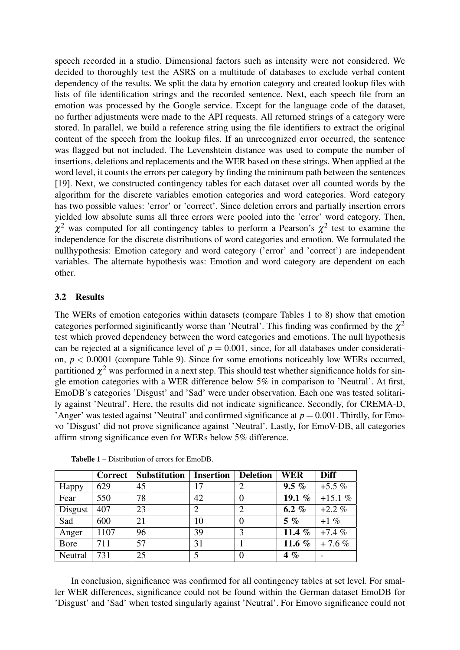speech recorded in a studio. Dimensional factors such as intensity were not considered. We decided to thoroughly test the ASRS on a multitude of databases to exclude verbal content dependency of the results. We split the data by emotion category and created lookup files with lists of file identification strings and the recorded sentence. Next, each speech file from an emotion was processed by the Google service. Except for the language code of the dataset, no further adjustments were made to the API requests. All returned strings of a category were stored. In parallel, we build a reference string using the file identifiers to extract the original content of the speech from the lookup files. If an unrecognized error occurred, the sentence was flagged but not included. The Levenshtein distance was used to compute the number of insertions, deletions and replacements and the WER based on these strings. When applied at the word level, it counts the errors per category by finding the minimum path between the sentences [\[19\]](#page-7-7). Next, we constructed contingency tables for each dataset over all counted words by the algorithm for the discrete variables emotion categories and word categories. Word category has two possible values: 'error' or 'correct'. Since deletion errors and partially insertion errors yielded low absolute sums all three errors were pooled into the 'error' word category. Then,  $\chi^2$  was computed for all contingency tables to perform a Pearson's  $\chi^2$  test to examine the independence for the discrete distributions of word categories and emotion. We formulated the nullhypothesis: Emotion category and word category ('error' and 'correct') are independent variables. The alternate hypothesis was: Emotion and word category are dependent on each other.

#### 3.2 Results

The WERs of emotion categories within datasets (compare Tables [1](#page-2-0) to [8\)](#page-5-0) show that emotion categories performed siginificantly worse than 'Neutral'. This finding was confirmed by the  $\chi^2$ test which proved dependency between the word categories and emotions. The null hypothesis can be rejected at a significance level of  $p = 0.001$ , since, for all databases under consideration,  $p < 0.0001$  (compare Table [9\)](#page-5-1). Since for some emotions noticeably low WERs occurred, partitioned  $\chi^2$  was performed in a next step. This should test whether significance holds for single emotion categories with a WER difference below 5% in comparison to 'Neutral'. At first, EmoDB's categories 'Disgust' and 'Sad' were under observation. Each one was tested solitarily against 'Neutral'. Here, the results did not indicate significance. Secondly, for CREMA-D, 'Anger' was tested against 'Neutral' and confirmed significance at  $p = 0.001$ . Thirdly, for Emovo 'Disgust' did not prove significance against 'Neutral'. Lastly, for EmoV-DB, all categories affirm strong significance even for WERs below 5% difference.

|         | <b>Correct</b> | <b>Substitution</b> | <b>Insertion</b> | <b>Deletion</b> | <b>WER</b> | <b>Diff</b> |
|---------|----------------|---------------------|------------------|-----------------|------------|-------------|
| Happy   | 629            | 45                  | 17               | $\overline{2}$  | $9.5 \%$   | $+5.5\%$    |
| Fear    | 550            | 78                  | 42               | $\theta$        | 19.1 $%$   | $+15.1%$    |
| Disgust | 407            | 23                  | 2                | $\overline{2}$  | 6.2 $%$    | $+2.2\%$    |
| Sad     | 600            | 21                  | 10               | $\theta$        | $5\%$      | $+1\%$      |
| Anger   | 1107           | 96                  | 39               | 3               | 11.4 $%$   | $+7.4%$     |
| Bore    | 711            | 57                  | 31               |                 | 11.6 $%$   | $+7.6%$     |
| Neutral | 731            | 25                  |                  | $\theta$        | $4\%$      |             |

<span id="page-2-0"></span>Tabelle 1 – Distribution of errors for EmoDB.

In conclusion, significance was confirmed for all contingency tables at set level. For smaller WER differences, significance could not be found within the German dataset EmoDB for 'Disgust' and 'Sad' when tested singularly against 'Neutral'. For Emovo significance could not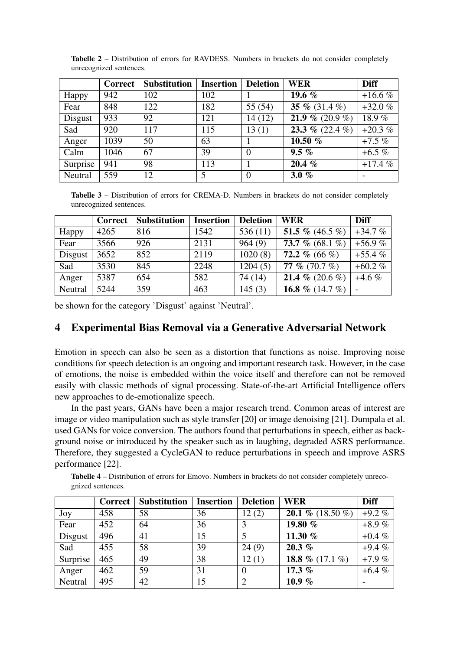|          | <b>Correct</b> | <b>Substitution</b> | <b>Insertion</b> | <b>Deletion</b> | <b>WER</b>      | <b>Diff</b> |
|----------|----------------|---------------------|------------------|-----------------|-----------------|-------------|
| Happy    | 942            | 102                 | 102              |                 | 19.6 $%$        | $+16.6%$    |
| Fear     | 848            | 122                 | 182              | 55(54)          | 35 % (31.4 %)   | $+32.0%$    |
| Disgust  | 933            | 92                  | 121              | 14(12)          | 21.9 % (20.9 %) | 18.9%       |
| Sad      | 920            | 117                 | 115              | 13(1)           | 23.3 % (22.4 %) | $+20.3%$    |
| Anger    | 1039           | 50                  | 63               |                 | 10.50 $%$       | $+7.5\%$    |
| Calm     | 1046           | 67                  | 39               | $\Omega$        | $9.5\%$         | $+6.5\%$    |
| Surprise | 941            | 98                  | 113              |                 | $20.4\%$        | $+17.4%$    |
| Neutral  | 559            | 12                  | 5                | $\overline{0}$  | 3.0 $%$         |             |

Tabelle 2 – Distribution of errors for RAVDESS. Numbers in brackets do not consider completely unrecognized sentences.

Tabelle 3 – Distribution of errors for CREMA-D. Numbers in brackets do not consider completely unrecognized sentences.

|         | Correct | <b>Substitution</b> | <b>Insertion</b> | <b>Deletion</b> | <b>WER</b>        | <b>Diff</b> |
|---------|---------|---------------------|------------------|-----------------|-------------------|-------------|
| Happy   | 4265    | 816                 | 1542             | 536(11)         | 51.5 % $(46.5\%)$ | $+34.7%$    |
| Fear    | 3566    | 926                 | 2131             | 964(9)          | 73.7 % $(68.1\%)$ | $+56.9%$    |
| Disgust | 3652    | 852                 | 2119             | 1020(8)         | 72.2 % (66 %)     | $+55.4%$    |
| Sad     | 3530    | 845                 | 2248             | 1204(5)         | 77 % $(70.7\%)$   | $+60.2\%$   |
| Anger   | 5387    | 654                 | 582              | 74 (14)         | 21.4 % $(20.6\%)$ | $+4.6\%$    |
| Neutral | 5244    | 359                 | 463              | 145(3)          | 16.8 % (14.7 %)   |             |

be shown for the category 'Disgust' against 'Neutral'.

## 4 Experimental Bias Removal via a Generative Adversarial Network

Emotion in speech can also be seen as a distortion that functions as noise. Improving noise conditions for speech detection is an ongoing and important research task. However, in the case of emotions, the noise is embedded within the voice itself and therefore can not be removed easily with classic methods of signal processing. State-of-the-art Artificial Intelligence offers new approaches to de-emotionalize speech.

In the past years, GANs have been a major research trend. Common areas of interest are image or video manipulation such as style transfer [\[20\]](#page-7-8) or image denoising [\[21\]](#page-7-9). Dumpala et al. used GANs for voice conversion. The authors found that perturbations in speech, either as background noise or introduced by the speaker such as in laughing, degraded ASRS performance. Therefore, they suggested a CycleGAN to reduce perturbations in speech and improve ASRS performance [\[22\]](#page-7-10).

Tabelle 4 – Distribution of errors for Emovo. Numbers in brackets do not consider completely unrecognized sentences.

|          | Correct | <b>Substitution</b> | <b>Insertion</b> | <b>Deletion</b> | <b>WER</b>              | <b>Diff</b> |
|----------|---------|---------------------|------------------|-----------------|-------------------------|-------------|
| Joy      | 458     | 58                  | 36               | 12(2)           | <b>20.1</b> % (18.50 %) | $+9.2\%$    |
| Fear     | 452     | 64                  | 36               | 3               | 19.80 %                 | $+8.9\%$    |
| Disgust  | 496     | 41                  | 15               | 5               | 11.30 %                 | $+0.4\%$    |
| Sad      | 455     | 58                  | 39               | 24(9)           | 20.3%                   | $+9.4%$     |
| Surprise | 465     | 49                  | 38               | 12(1)           | 18.8 $\%$ (17.1 $\%$ )  | $+7.9%$     |
| Anger    | 462     | 59                  | 31               | $\theta$        | 17.3 $%$                | $+6.4%$     |
| Neutral  | 495     | 42                  | 15               | 2               | 10.9 $%$                |             |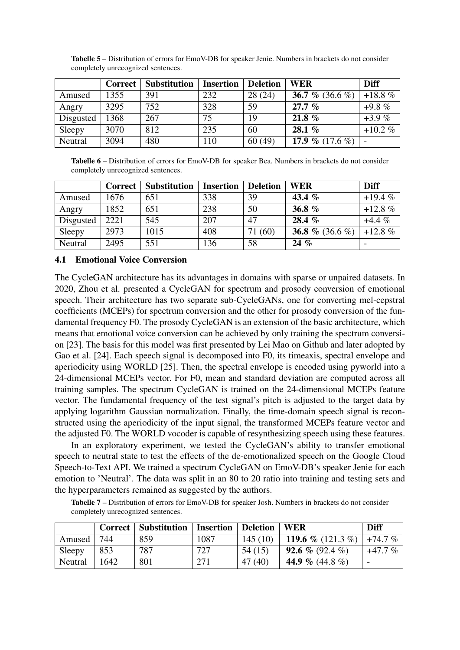|           | Correct | <b>Substitution</b> | <b>Insertion</b> | <b>Deletion</b> | <b>WER</b>        | <b>Diff</b> |
|-----------|---------|---------------------|------------------|-----------------|-------------------|-------------|
| Amused    | 1355    | 391                 | 232              | 28(24)          | 36.7 % (36.6 %)   | $+18.8\%$   |
| Angry     | 3295    | 752                 | 328              | 59              | $27.7\%$          | $+9.8\%$    |
| Disgusted | 1368    | 267                 | 75               | 19              | 21.8 $%$          | $+3.9\%$    |
| Sleepy    | 3070    | 812                 | 235              | 60              | 28.1 $%$          | $+10.2 \%$  |
| Neutral   | 3094    | 480                 | 110              | 60(49)          | 17.9 % $(17.6\%)$ |             |

Tabelle 5 – Distribution of errors for EmoV-DB for speaker Jenie. Numbers in brackets do not consider completely unrecognized sentences.

Tabelle 6 – Distribution of errors for EmoV-DB for speaker Bea. Numbers in brackets do not consider completely unrecognized sentences.

|           | <b>Correct</b> | <b>Substitution</b> | <b>Insertion</b> | <b>Deletion</b> | <b>WER</b>      | <b>Diff</b> |
|-----------|----------------|---------------------|------------------|-----------------|-----------------|-------------|
| Amused    | 1676           | 651                 | 338              | 39              | 43.4 $%$        | $+19.4%$    |
| Angry     | 1852           | 651                 | 238              | 50              | 36.8 $%$        | $+12.8%$    |
| Disgusted | 2221           | 545                 | 207              | 47              | 28.4 %          | $+4.4%$     |
| Sleepy    | 2973           | 1015                | 408              | (60)<br>71      | 36.8 % (36.6 %) | $+12.8%$    |
| Neutral   | 2495           | 551                 | 136              | 58              | $24 \%$         |             |

#### 4.1 Emotional Voice Conversion

The CycleGAN architecture has its advantages in domains with sparse or unpaired datasets. In 2020, Zhou et al. presented a CycleGAN for spectrum and prosody conversion of emotional speech. Their architecture has two separate sub-CycleGANs, one for converting mel-cepstral coefficients (MCEPs) for spectrum conversion and the other for prosody conversion of the fundamental frequency F0. The prosody CycleGAN is an extension of the basic architecture, which means that emotional voice conversion can be achieved by only training the spectrum conversion [\[23\]](#page-7-11). The basis for this model was first presented by Lei Mao on Github and later adopted by Gao et al. [\[24\]](#page-7-12). Each speech signal is decomposed into F0, its timeaxis, spectral envelope and aperiodicity using WORLD [\[25\]](#page-7-13). Then, the spectral envelope is encoded using pyworld into a 24-dimensional MCEPs vector. For F0, mean and standard deviation are computed across all training samples. The spectrum CycleGAN is trained on the 24-dimensional MCEPs feature vector. The fundamental frequency of the test signal's pitch is adjusted to the target data by applying logarithm Gaussian normalization. Finally, the time-domain speech signal is reconstructed using the aperiodicity of the input signal, the transformed MCEPs feature vector and the adjusted F0. The WORLD vocoder is capable of resynthesizing speech using these features.

In an exploratory experiment, we tested the CycleGAN's ability to transfer emotional speech to neutral state to test the effects of the de-emotionalized speech on the Google Cloud Speech-to-Text API. We trained a spectrum CycleGAN on EmoV-DB's speaker Jenie for each emotion to 'Neutral'. The data was split in an 80 to 20 ratio into training and testing sets and the hyperparameters remained as suggested by the authors.

Tabelle 7 – Distribution of errors for EmoV-DB for speaker Josh. Numbers in brackets do not consider completely unrecognized sentences.

|         |      | Correct   Substitution | <b>Insertion   Deletion   WER</b> |         |                             | <b>Diff</b> |
|---------|------|------------------------|-----------------------------------|---------|-----------------------------|-------------|
| Amused  | 744  | 859                    | 1087                              | 145(10) | 119.6 % (121.3 %)   +74.7 % |             |
| Sleepy  | 853  | 787                    | 727                               | 54(15)  | <b>92.6</b> % (92.4 %)      | +47.7 %     |
| Neutral | 1642 | 801                    | 271                               | 47(40)  | 44.9 % (44.8 %)             |             |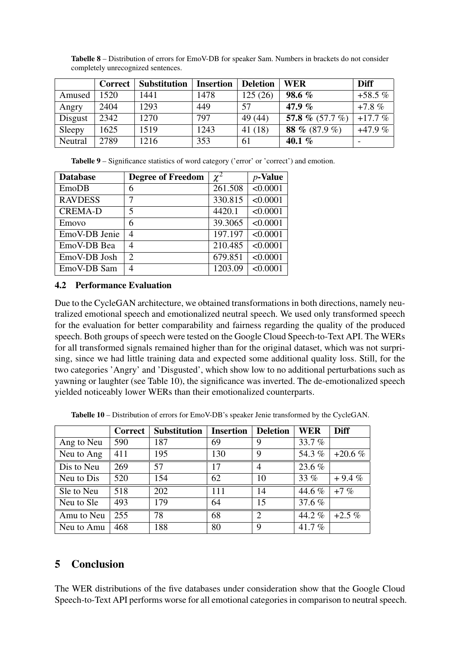|         | Correct | <b>Substitution</b> | <b>Insertion</b> | <b>Deletion</b> | <b>WER</b>        | <b>Diff</b> |
|---------|---------|---------------------|------------------|-----------------|-------------------|-------------|
| Amused  | 1520    | 1441                | 1478             | 125(26)         | 98.6 $%$          | $+58.5%$    |
| Angry   | 2404    | 1293                | 449              | 57              | 47.9 $%$          | $+7.8\%$    |
| Disgust | 2342    | 1270                | 797              | 49 (44)         | 57.8 % $(57.7\%)$ | $+17.7%$    |
| Sleepy  | 1625    | 1519                | 1243             | 41(18)          | 88 % (87.9 %)     | $+47.9%$    |
| Neutral | 2789    | 1216                | 353              | 61              | 40.1 $%$          |             |

<span id="page-5-0"></span>Tabelle 8 – Distribution of errors for EmoV-DB for speaker Sam. Numbers in brackets do not consider completely unrecognized sentences.

<span id="page-5-1"></span>Tabelle 9 – Significance statistics of word category ('error' or 'correct') and emotion.

| <b>Database</b> | <b>Degree of Freedom</b> | $\chi^2$ | $p$ -Value      |
|-----------------|--------------------------|----------|-----------------|
| EmoDB           | 6                        | 261.508  | $\sqrt{0.0001}$ |
| <b>RAVDESS</b>  | 7                        | 330.815  | < 0.0001        |
| <b>CREMA-D</b>  | 5                        | 4420.1   | < 0.0001        |
| Emovo           | 6                        | 39.3065  | < 0.0001        |
| EmoV-DB Jenie   | 4                        | 197.197  | < 0.0001        |
| EmoV-DB Bea     | 4                        | 210.485  | < 0.0001        |
| EmoV-DB Josh    | $\mathfrak{D}$           | 679.851  | < 0.0001        |
| EmoV-DB Sam     | 4                        | 1203.09  | < 0.0001        |

### 4.2 Performance Evaluation

Due to the CycleGAN architecture, we obtained transformations in both directions, namely neutralized emotional speech and emotionalized neutral speech. We used only transformed speech for the evaluation for better comparability and fairness regarding the quality of the produced speech. Both groups of speech were tested on the Google Cloud Speech-to-Text API. The WERs for all transformed signals remained higher than for the original dataset, which was not surprising, since we had little training data and expected some additional quality loss. Still, for the two categories 'Angry' and 'Disgusted', which show low to no additional perturbations such as yawning or laughter (see Table [10\)](#page-5-2), the significance was inverted. The de-emotionalized speech yielded noticeably lower WERs than their emotionalized counterparts.

<span id="page-5-2"></span>Tabelle 10 – Distribution of errors for EmoV-DB's speaker Jenie transformed by the CycleGAN.

|            | Correct | <b>Substitution</b> | <b>Insertion</b> | <b>Deletion</b> | <b>WER</b> | <b>Diff</b> |
|------------|---------|---------------------|------------------|-----------------|------------|-------------|
| Ang to Neu | 590     | 187                 | 69               | 9               | 33.7%      |             |
| Neu to Ang | 411     | 195                 | 130              | 9               | 54.3%      | $+20.6%$    |
| Dis to Neu | 269     | 57                  | 17               | 4               | 23.6 %     |             |
| Neu to Dis | 520     | 154                 | 62               | 10              | 33%        | $+9.4%$     |
| Sle to Neu | 518     | 202                 | 111              | 14              | 44.6 %     | $+7%$       |
| Neu to Sle | 493     | 179                 | 64               | 15              | 37.6%      |             |
| Amu to Neu | 255     | 78                  | 68               | $\overline{2}$  | 44.2%      | $+2.5\%$    |
| Neu to Amu | 468     | 188                 | 80               | 9               | 41.7%      |             |

# 5 Conclusion

The WER distributions of the five databases under consideration show that the Google Cloud Speech-to-Text API performs worse for all emotional categories in comparison to neutral speech.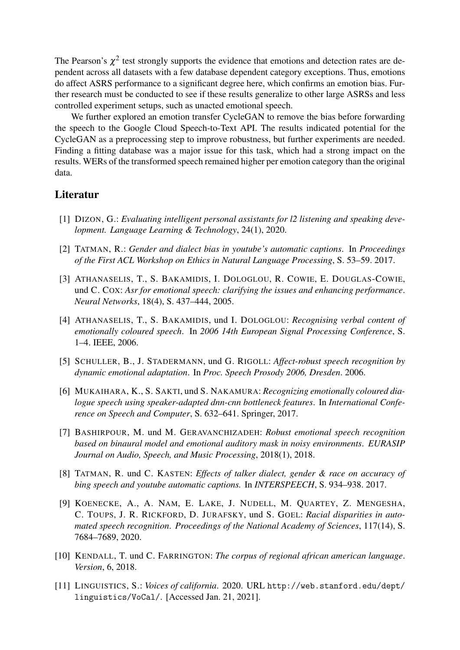The Pearson's  $\chi^2$  test strongly supports the evidence that emotions and detection rates are dependent across all datasets with a few database dependent category exceptions. Thus, emotions do affect ASRS performance to a significant degree here, which confirms an emotion bias. Further research must be conducted to see if these results generalize to other large ASRSs and less controlled experiment setups, such as unacted emotional speech.

We further explored an emotion transfer CycleGAN to remove the bias before forwarding the speech to the Google Cloud Speech-to-Text API. The results indicated potential for the CycleGAN as a preprocessing step to improve robustness, but further experiments are needed. Finding a fitting database was a major issue for this task, which had a strong impact on the results. WERs of the transformed speech remained higher per emotion category than the original data.

## Literatur

- <span id="page-6-0"></span>[1] DIZON, G.: *Evaluating intelligent personal assistants for l2 listening and speaking development. Language Learning & Technology*, 24(1), 2020.
- <span id="page-6-1"></span>[2] TATMAN, R.: *Gender and dialect bias in youtube's automatic captions*. In *Proceedings of the First ACL Workshop on Ethics in Natural Language Processing*, S. 53–59. 2017.
- <span id="page-6-2"></span>[3] ATHANASELIS, T., S. BAKAMIDIS, I. DOLOGLOU, R. COWIE, E. DOUGLAS-COWIE, und C. COX: *Asr for emotional speech: clarifying the issues and enhancing performance*. *Neural Networks*, 18(4), S. 437–444, 2005.
- <span id="page-6-3"></span>[4] ATHANASELIS, T., S. BAKAMIDIS, und I. DOLOGLOU: *Recognising verbal content of emotionally coloured speech*. In *2006 14th European Signal Processing Conference*, S. 1–4. IEEE, 2006.
- <span id="page-6-4"></span>[5] SCHULLER, B., J. STADERMANN, und G. RIGOLL: *Affect-robust speech recognition by dynamic emotional adaptation*. In *Proc. Speech Prosody 2006, Dresden*. 2006.
- <span id="page-6-5"></span>[6] MUKAIHARA, K., S. SAKTI, und S. NAKAMURA: *Recognizing emotionally coloured dialogue speech using speaker-adapted dnn-cnn bottleneck features*. In *International Conference on Speech and Computer*, S. 632–641. Springer, 2017.
- <span id="page-6-6"></span>[7] BASHIRPOUR, M. und M. GERAVANCHIZADEH: *Robust emotional speech recognition based on binaural model and emotional auditory mask in noisy environments*. *EURASIP Journal on Audio, Speech, and Music Processing*, 2018(1), 2018.
- <span id="page-6-7"></span>[8] TATMAN, R. und C. KASTEN: *Effects of talker dialect, gender & race on accuracy of bing speech and youtube automatic captions.* In *INTERSPEECH*, S. 934–938. 2017.
- <span id="page-6-8"></span>[9] KOENECKE, A., A. NAM, E. LAKE, J. NUDELL, M. QUARTEY, Z. MENGESHA, C. TOUPS, J. R. RICKFORD, D. JURAFSKY, und S. GOEL: *Racial disparities in automated speech recognition*. *Proceedings of the National Academy of Sciences*, 117(14), S. 7684–7689, 2020.
- <span id="page-6-9"></span>[10] KENDALL, T. und C. FARRINGTON: *The corpus of regional african american language*. *Version*, 6, 2018.
- <span id="page-6-10"></span>[11] LINGUISTICS, S.: *Voices of california*. 2020. URL [http://web.stanford.edu/dept/](http://web.stanford.edu/dept/linguistics/ VoCal/) [linguistics/VoCal/](http://web.stanford.edu/dept/linguistics/ VoCal/). [Accessed Jan. 21, 2021].